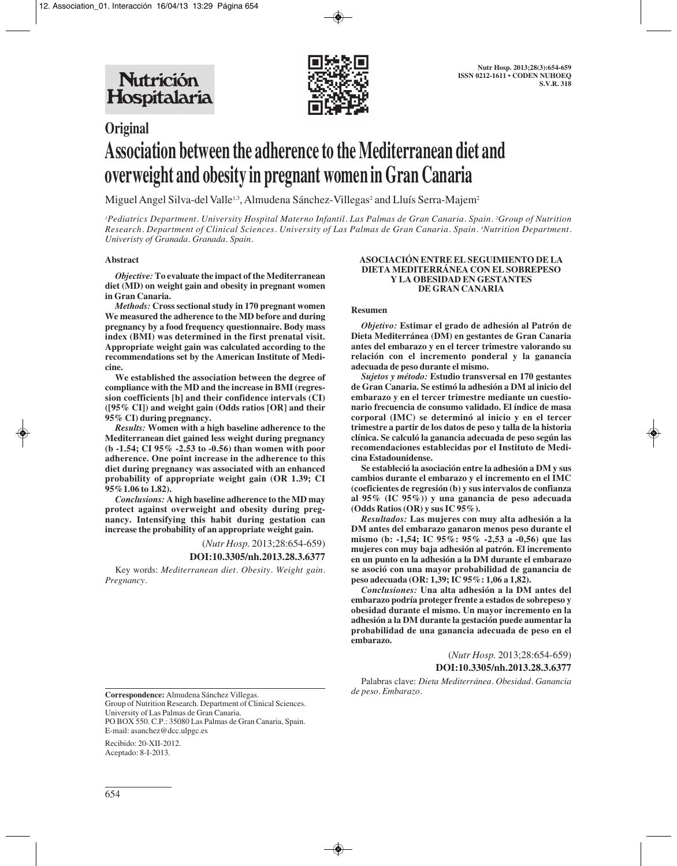

# **Original Association between the adherence to the Mediterranean diet and overweight and obesity in pregnant women in Gran Canaria**

Miguel Angel Silva-del Valle<sup>1,3</sup>, Almudena Sánchez-Villegas<sup>2</sup> and Lluís Serra-Majem<sup>2</sup>

*1 Pediatrics Department. University Hospital Materno Infantil. Las Palmas de Gran Canaria. Spain. 2 Group of Nutrition Research. Department of Clinical Sciences. University of Las Palmas de Gran Canaria. Spain. 3 Nutrition Department. Univeristy of Granada. Granada. Spain.*

### **Abstract**

*Objective:* **To evaluate the impact of the Mediterranean diet (MD) on weight gain and obesity in pregnant women in Gran Canaria.**

*Methods:* **Cross sectional study in 170 pregnant women We measured the adherence to the MD before and during pregnancy by a food frequency questionnaire. Body mass index (BMI) was determined in the first prenatal visit. Appropriate weight gain was calculated according to the recommendations set by the American Institute of Medicine.**

**We established the association between the degree of compliance with the MD and the increase in BMI (regression coefficients [b] and their confidence intervals (CI) ([95% CI]) and weight gain (Odds ratios [OR] and their 95% CI) during pregnancy.** 

*Results:* **Women with a high baseline adherence to the Mediterranean diet gained less weight during pregnancy (b -1.54; CI 95% -2.53 to -0.56) than women with poor adherence. One point increase in the adherence to this diet during pregnancy was associated with an enhanced probability of appropriate weight gain (OR 1.39; CI 95%1.06 to 1.82).**

*Conclusions:* **A high baseline adherence to the MD may protect against overweight and obesity during pregnancy. Intensifying this habit during gestation can increase the probability of an appropriate weight gain.**

(*Nutr Hosp.* 2013;28:654-659)

## **DOI:10.3305/nh.2013.28.3.6377**

Key words: *Mediterranean diet. Obesity. Weight gain. Pregnancy.* 

#### **ASOCIACIÓN ENTRE EL SEGUIMIENTO DE LA DIETA MEDITERRÁNEA CON EL SOBREPESO Y LA OBESIDAD EN GESTANTES DE GRAN CANARIA**

### **Resumen**

*Objetivo:* **Estimar el grado de adhesión al Patrón de Dieta Mediterránea (DM) en gestantes de Gran Canaria antes del embarazo y en el tercer trimestre valorando su relación con el incremento ponderal y la ganancia adecuada de peso durante el mismo.** 

*Sujetos y método:* **Estudio transversal en 170 gestantes de Gran Canaria. Se estimó la adhesión a DM al inicio del embarazo y en el tercer trimestre mediante un cuestionario frecuencia de consumo validado. El índice de masa corporal (IMC) se determinó al inicio y en el tercer trimestre a partir de los datos de peso y talla de la historia clínica. Se calculó la ganancia adecuada de peso según las recomendaciones establecidas por el Instituto de Medicina Estadounidense.** 

**Se estableció la asociación entre la adhesión a DM y sus cambios durante el embarazo y el incremento en el IMC (coeficientes de regresión (b) y sus intervalos de confianza al 95% (IC 95%)) y una ganancia de peso adecuada (Odds Ratios (OR) y sus IC 95%).** 

*Resultados:* **Las mujeres con muy alta adhesión a la DM antes del embarazo ganaron menos peso durante el mismo (b: -1,54; IC 95%: 95% -2,53 a -0,56) que las mujeres con muy baja adhesión al patrón. El incremento en un punto en la adhesión a la DM durante el embarazo se asoció con una mayor probabilidad de ganancia de peso adecuada (OR: 1,39; IC 95%: 1,06 a 1,82).** 

*Conclusiones:* **Una alta adhesión a la DM antes del embarazo podría proteger frente a estados de sobrepeso y obesidad durante el mismo. Un mayor incremento en la adhesión a la DM durante la gestación puede aumentar la probabilidad de una ganancia adecuada de peso en el embarazo.** 

> (*Nutr Hosp.* 2013;28:654-659) **DOI:10.3305/nh.2013.28.3.6377**

Palabras clave: *Dieta Mediterránea. Obesidad. Ganancia de peso. Embarazo.*

**Correspondence:** Almudena Sánchez Villegas.

Group of Nutrition Research. Department of Clinical Sciences. University of Las Palmas de Gran Canaria.

PO BOX 550. C.P.: 35080 Las Palmas de Gran Canaria, Spain. E-mail: asanchez@dcc.ulpgc.es

Recibido: 20-XII-2012. Aceptado: 8-I-2013.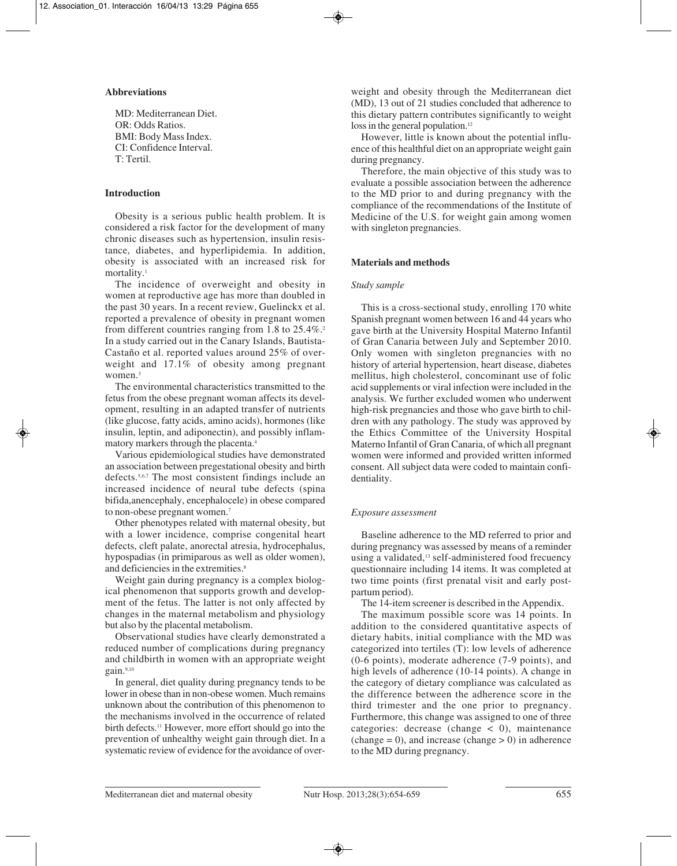## **Abbreviations**

MD: Mediterranean Diet. OR: Odds Ratios. BMI: Body Mass Index. CI: Confidence Interval. T: Tertil.

## **Introduction**

Obesity is a serious public health problem. It is considered a risk factor for the development of many chronic diseases such as hypertension, insulin resistance, diabetes, and hyperlipidemia. In addition, obesity is associated with an increased risk for mortality.1

The incidence of overweight and obesity in women at reproductive age has more than doubled in the past 30 years. In a recent review, Guelinckx et al. reported a prevalence of obesity in pregnant women from different countries ranging from 1.8 to 25.4%.<sup>2</sup> In a study carried out in the Canary Islands, Bautista-Castaño et al. reported values around 25% of overweight and 17.1% of obesity among pregnant women.<sup>3</sup>

The environmental characteristics transmitted to the fetus from the obese pregnant woman affects its development, resulting in an adapted transfer of nutrients (like glucose, fatty acids, amino acids), hormones (like insulin, leptin, and adiponectin), and possibly inflammatory markers through the placenta.4

Various epidemiological studies have demonstrated an association between pregestational obesity and birth defects.5,6,7 The most consistent findings include an increased incidence of neural tube defects (spina bifida,anencephaly, encephalocele) in obese compared to non-obese pregnant women.<sup>7</sup>

Other phenotypes related with maternal obesity, but with a lower incidence, comprise congenital heart defects, cleft palate, anorectal atresia, hydrocephalus, hypospadias (in primiparous as well as older women), and deficiencies in the extremities.<sup>8</sup>

Weight gain during pregnancy is a complex biological phenomenon that supports growth and development of the fetus. The latter is not only affected by changes in the maternal metabolism and physiology but also by the placental metabolism.

Observational studies have clearly demonstrated a reduced number of complications during pregnancy and childbirth in women with an appropriate weight gain.9,10

In general, diet quality during pregnancy tends to be lower in obese than in non-obese women. Much remains unknown about the contribution of this phenomenon to the mechanisms involved in the occurrence of related birth defects.<sup>11</sup> However, more effort should go into the prevention of unhealthy weight gain through diet. In a systematic review of evidence for the avoidance of overweight and obesity through the Mediterranean diet (MD), 13 out of 21 studies concluded that adherence to this dietary pattern contributes significantly to weight loss in the general population.<sup>12</sup>

However, little is known about the potential influence of this healthful diet on an appropriate weight gain during pregnancy.

Therefore, the main objective of this study was to evaluate a possible association between the adherence to the MD prior to and during pregnancy with the compliance of the recommendations of the Institute of Medicine of the U.S. for weight gain among women with singleton pregnancies.

## **Materials and methods**

## *Study sample*

This is a cross-sectional study, enrolling 170 white Spanish pregnant women between 16 and 44 years who gave birth at the University Hospital Materno Infantil of Gran Canaria between July and September 2010. Only women with singleton pregnancies with no history of arterial hypertension, heart disease, diabetes mellitus, high cholesterol, concominant use of folic acid supplements or viral infection were included in the analysis. We further excluded women who underwent high-risk pregnancies and those who gave birth to children with any pathology. The study was approved by the Ethics Committee of the University Hospital Materno Infantil of Gran Canaria, of which all pregnant women were informed and provided written informed consent. All subject data were coded to maintain confidentiality.

## *Exposure assessment*

Baseline adherence to the MD referred to prior and during pregnancy was assessed by means of a reminder using a validated,<sup>13</sup> self-administered food frecuency questionnaire including 14 items. It was completed at two time points (first prenatal visit and early postpartum period).

The 14-item screener is described in the Appendix.

The maximum possible score was 14 points. In addition to the considered quantitative aspects of dietary habits, initial compliance with the MD was categorized into tertiles (T): low levels of adherence (0-6 points), moderate adherence (7-9 points), and high levels of adherence (10-14 points). A change in the category of dietary compliance was calculated as the difference between the adherence score in the third trimester and the one prior to pregnancy. Furthermore, this change was assigned to one of three categories: decrease (change  $\lt$  0), maintenance  $(change = 0)$ , and increase  $(change > 0)$  in adherence to the MD during pregnancy.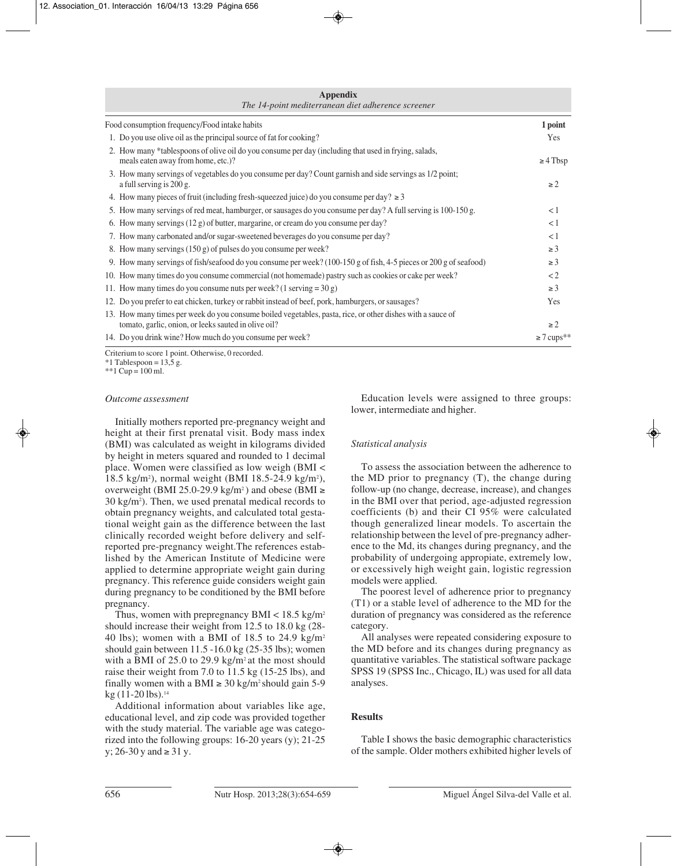| <b>Appendix</b><br>The 14-point mediterranean diet adherence screener                                                                                              |                             |  |  |
|--------------------------------------------------------------------------------------------------------------------------------------------------------------------|-----------------------------|--|--|
| Food consumption frequency/Food intake habits                                                                                                                      | 1 point                     |  |  |
| 1. Do you use olive oil as the principal source of fat for cooking?                                                                                                | Yes                         |  |  |
| 2. How many *tablespoons of olive oil do you consume per day (including that used in frying, salads,<br>meals eaten away from home, etc.)?                         | $\geq$ 4 Tbsp               |  |  |
| 3. How many servings of vegetables do you consume per day? Count garnish and side servings as 1/2 point;<br>a full serving is 200 g.                               | $\geq$ 2                    |  |  |
| 4. How many pieces of fruit (including fresh-squeezed juice) do you consume per day? $\geq 3$                                                                      |                             |  |  |
| 5. How many servings of red meat, hamburger, or sausages do you consume per day? A full serving is 100-150 g.                                                      | < 1                         |  |  |
| 6. How many servings $(12 g)$ of butter, margarine, or cream do you consume per day?                                                                               | $\lt 1$                     |  |  |
| 7. How many carbonated and/or sugar-sweetened beverages do you consume per day?                                                                                    | <1                          |  |  |
| 8. How many servings (150 g) of pulses do you consume per week?                                                                                                    | $\geq 3$                    |  |  |
| 9. How many servings of fish/seafood do you consume per week? (100-150 g of fish, 4-5 pieces or 200 g of seafood)                                                  | $\geq 3$                    |  |  |
| 10. How many times do you consume commercial (not homemade) pastry such as cookies or cake per week?                                                               | $\lt 2$                     |  |  |
| 11. How many times do you consume nuts per week? (1 serving = $30 g$ )                                                                                             | $\geq 3$                    |  |  |
| 12. Do you prefer to eat chicken, turkey or rabbit instead of beef, pork, hamburgers, or sausages?                                                                 | Yes                         |  |  |
| 13. How many times per week do you consume boiled vegetables, pasta, rice, or other dishes with a sauce of<br>tomato, garlic, onion, or leeks sauted in olive oil? | $\geq$ 2                    |  |  |
| 14. Do you drink wine? How much do you consume per week?                                                                                                           | $\geq$ 7 cups <sup>**</sup> |  |  |

Criterium to score 1 point. Otherwise, 0 recorded.

 $*1$  Tablespoon = 13,5 g.

 $*$ 1 Cup = 100 ml.

#### *Outcome assessment*

Initially mothers reported pre-pregnancy weight and height at their first prenatal visit. Body mass index (BMI) was calculated as weight in kilograms divided by height in meters squared and rounded to 1 decimal place. Women were classified as low weigh (BMI < 18.5 kg/m2 ), normal weight (BMI 18.5-24.9 kg/m2 ), overweight (BMI 25.0-29.9 kg/m<sup>2</sup>) and obese (BMI ≥ 30 kg/m2 ). Then, we used prenatal medical records to obtain pregnancy weights, and calculated total gestational weight gain as the difference between the last clinically recorded weight before delivery and selfreported pre-pregnancy weight.The references established by the American Institute of Medicine were applied to determine appropriate weight gain during pregnancy. This reference guide considers weight gain during pregnancy to be conditioned by the BMI before pregnancy.

Thus, women with prepregnancy  $BMI < 18.5 \text{ kg/m}^2$ should increase their weight from 12.5 to 18.0 kg (28- 40 lbs); women with a BMI of 18.5 to 24.9 kg/m<sup>2</sup> should gain between 11.5 -16.0 kg (25-35 lbs); women with a BMI of 25.0 to 29.9 kg/m<sup>2</sup> at the most should raise their weight from 7.0 to 11.5 kg (15-25 lbs), and finally women with a BMI  $\geq$  30 kg/m<sup>2</sup> should gain 5-9  $kg (11-20$  lbs).<sup>14</sup>

Additional information about variables like age, educational level, and zip code was provided together with the study material. The variable age was categorized into the following groups: 16-20 years (y); 21-25 y; 26-30 y and ≥ 31 y.

Education levels were assigned to three groups: lower, intermediate and higher.

#### *Statistical analysis*

To assess the association between the adherence to the MD prior to pregnancy (T), the change during follow-up (no change, decrease, increase), and changes in the BMI over that period, age-adjusted regression coefficients (b) and their CI 95% were calculated though generalized linear models. To ascertain the relationship between the level of pre-pregnancy adherence to the Md, its changes during pregnancy, and the probability of undergoing appropiate, extremely low, or excessively high weight gain, logistic regression models were applied.

The poorest level of adherence prior to pregnancy (T1) or a stable level of adherence to the MD for the duration of pregnancy was considered as the reference category.

All analyses were repeated considering exposure to the MD before and its changes during pregnancy as quantitative variables. The statistical software package SPSS 19 (SPSS Inc., Chicago, IL) was used for all data analyses.

## **Results**

Table I shows the basic demographic characteristics of the sample. Older mothers exhibited higher levels of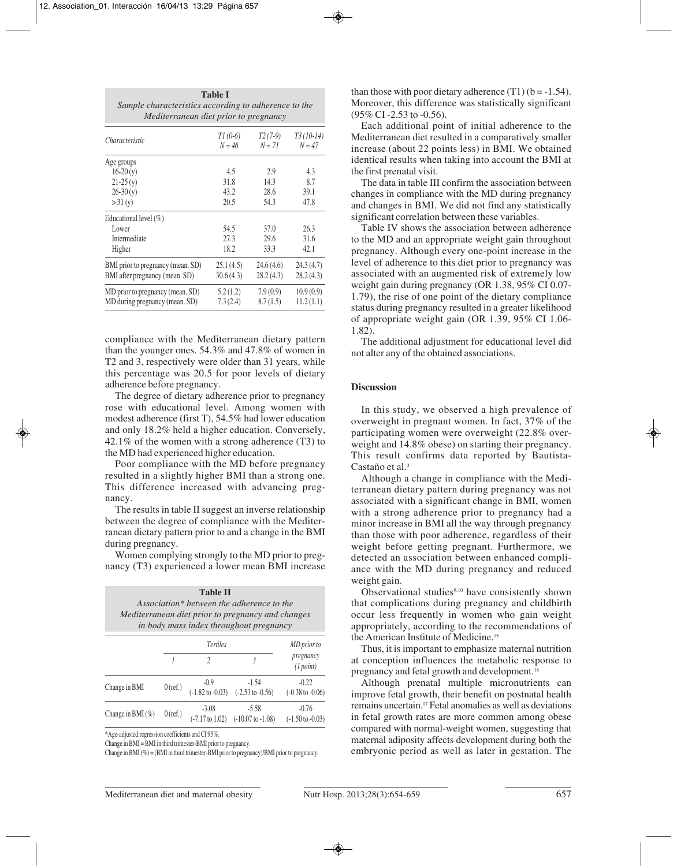| Sample characteristics according to adherence to the<br>Mediterranean diet prior to pregnancy |                       |                       |                                    |
|-----------------------------------------------------------------------------------------------|-----------------------|-----------------------|------------------------------------|
| Characteristic                                                                                | $T1(0-6)$<br>$N = 46$ | $T2(7-9)$<br>$N = 71$ | T <sub>3</sub> (10-14)<br>$N = 47$ |
| Age groups                                                                                    |                       |                       |                                    |
| $16-20(y)$                                                                                    | 4.5                   | 2.9                   | 4.3                                |
| $21-25(y)$                                                                                    | 31.8                  | 14.3                  | 8.7                                |
| $26-30(y)$                                                                                    | 43.2                  | 28.6                  | 39.1                               |
| >31(y)                                                                                        | 20.5                  | 54.3                  | 47.8                               |
| Educational level $(\%)$                                                                      |                       |                       |                                    |
| Lower                                                                                         | 54.5                  | 37.0                  | 26.3                               |
| Intermediate                                                                                  | 27.3                  | 29.6                  | 31.6                               |
| Higher                                                                                        | 18.2                  | 33.3                  | 42.1                               |
| BMI prior to pregnancy (mean. SD)                                                             | 25.1(4.5)             | 24.6(4.6)             | 24.3(4.7)                          |
| BMI after pregnancy (mean. SD)                                                                | 30.6(4.3)             | 28.2(4.3)             | 28.2 (4.3)                         |
| MD prior to pregnancy (mean. SD)                                                              | 5.2(1.2)              | 7.9(0.9)              | 10.9(0.9)                          |
| MD during pregnancy (mean. SD)                                                                | 7.3(2.4)              | 8.7(1.5)              | 11.2(1.1)                          |

**Table I**

compliance with the Mediterranean dietary pattern than the younger ones. 54.3% and 47.8% of women in T2 and 3, respectively were older than 31 years, while this percentage was 20.5 for poor levels of dietary adherence before pregnancy.

The degree of dietary adherence prior to pregnancy rose with educational level. Among women with modest adherence (first T), 54.5% had lower education and only 18.2% held a higher education. Conversely, 42.1% of the women with a strong adherence (T3) to the MD had experienced higher education.

Poor compliance with the MD before pregnancy resulted in a slightly higher BMI than a strong one. This difference increased with advancing pregnancy.

The results in table II suggest an inverse relationship between the degree of compliance with the Mediterranean dietary pattern prior to and a change in the BMI during pregnancy.

Women complying strongly to the MD prior to pregnancy (T3) experienced a lower mean BMI increase

| <b>Table II</b><br>Association* between the adherence to the<br>Mediterranean diet prior to pregnancy and changes<br>in body mass index throughout pregnancy |            |                                       |                                         |                                        |
|--------------------------------------------------------------------------------------------------------------------------------------------------------------|------------|---------------------------------------|-----------------------------------------|----------------------------------------|
|                                                                                                                                                              |            | <b>Tertiles</b><br>$\mathfrak{D}$     | $\overline{3}$                          | MD prior to<br>pregnancy<br>(1 point)  |
| Change in BMI                                                                                                                                                | $0$ (ref.) | $-0.9$<br>$(-1.82 \text{ to } -0.03)$ | $-1.54$<br>$(-2.53 \text{ to } -0.56)$  | $-0.22$<br>$(-0.38 \text{ to } -0.06)$ |
| Change in BMI $(\%)$                                                                                                                                         | $0$ (ref.) | $-3.08$<br>$(-7.17 \text{ to } 1.02)$ | $-5.58$<br>$(-10.07 \text{ to } -1.08)$ | $-0.76$<br>$(-1.50 \text{ to } -0.03)$ |

\*Age-adjusted.regression coefficients and CI 95%.

Change in BMI = BMI in third trimester-BMI prior to pregnancy.

Change in BMI (%) = (BMI in third trimester-BMI prior to pregnancy)/BMI prior to pregnancy.

than those with poor dietary adherence  $(T1)$  (b = -1.54). Moreover, this difference was statistically significant (95% CI -2.53 to -0.56).

Each additional point of initial adherence to the Mediterranean diet resulted in a comparatively smaller increase (about 22 points less) in BMI. We obtained identical results when taking into account the BMI at the first prenatal visit.

The data in table III confirm the association between changes in compliance with the MD during pregnancy and changes in BMI. We did not find any statistically significant correlation between these variables.

Table IV shows the association between adherence to the MD and an appropriate weight gain throughout pregnancy. Although every one-point increase in the level of adherence to this diet prior to pregnancy was associated with an augmented risk of extremely low weight gain during pregnancy (OR 1.38, 95% CI 0.07- 1.79), the rise of one point of the dietary compliance status during pregnancy resulted in a greater likelihood of appropriate weight gain (OR 1.39, 95% CI 1.06- 1.82).

The additional adjustment for educational level did not alter any of the obtained associations.

#### **Discussion**

In this study, we observed a high prevalence of overweight in pregnant women. In fact, 37% of the participating women were overweight (22.8% overweight and 14.8% obese) on starting their pregnancy. This result confirms data reported by Bautista-Castaño et al.3

Although a change in compliance with the Mediterranean dietary pattern during pregnancy was not associated with a significant change in BMI, women with a strong adherence prior to pregnancy had a minor increase in BMI all the way through pregnancy than those with poor adherence, regardless of their weight before getting pregnant. Furthermore, we detected an association between enhanced compliance with the MD during pregnancy and reduced weight gain.

Observational studies<sup>9,10</sup> have consistently shown that complications during pregnancy and childbirth occur less frequently in women who gain weight appropriately, according to the recommendations of the American Institute of Medicine.<sup>15</sup>

Thus, it is important to emphasize maternal nutrition at conception influences the metabolic response to pregnancy and fetal growth and development.16

Although prenatal multiple micronutrients can improve fetal growth, their benefit on postnatal health remains uncertain.17 Fetal anomalies as well as deviations in fetal growth rates are more common among obese compared with normal-weight women, suggesting that maternal adiposity affects development during both the embryonic period as well as later in gestation. The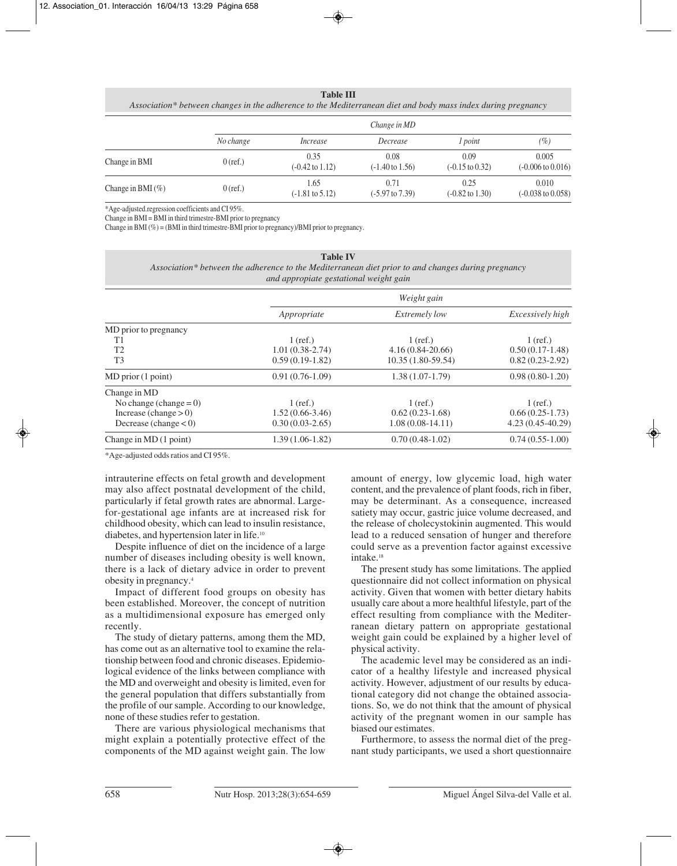**Table III**

*Association\* between changes in the adherence to the Mediterranean diet and body mass index during pregnancy*

|                       |            | Change in MD                       |                                    |                                    |                                       |
|-----------------------|------------|------------------------------------|------------------------------------|------------------------------------|---------------------------------------|
|                       | No change  | Increase                           | Decrease                           | <i>l</i> point                     | (%)                                   |
| Change in BMI         | $0$ (ref.) | 0.35<br>$(-0.42 \text{ to } 1.12)$ | 0.08<br>$(-1.40 \text{ to } 1.56)$ | 0.09<br>$(-0.15 \text{ to } 0.32)$ | 0.005<br>$(-0.006 \text{ to } 0.016)$ |
| Change in BMI $(\% )$ | $0$ (ref.) | 1.65<br>$(-1.81 \text{ to } 5.12)$ | 0.71<br>$(-5.97 \text{ to } 7.39)$ | 0.25<br>$(-0.82 \text{ to } 1.30)$ | 0.010<br>$(-0.038 \text{ to } 0.058)$ |

\*Age-adjusted.regression coefficients and CI 95%.

Change in BMI = BMI in third trimestre-BMI prior to pregnancy

Change in BMI (%) = (BMI in third trimestre-BMI prior to pregnancy)/BMI prior to pregnancy.

| <b>Table IV</b> |                                                                                                    |  |
|-----------------|----------------------------------------------------------------------------------------------------|--|
|                 | Association* between the adherence to the Mediterranean diet prior to and changes during pregnancy |  |
|                 | and appropiate gestational weight gain                                                             |  |

|                           | Weight gain       |                      |                    |  |
|---------------------------|-------------------|----------------------|--------------------|--|
|                           | Appropriate       | <i>Extremely low</i> | Excessively high   |  |
| MD prior to pregnancy     |                   |                      |                    |  |
| T1                        | $1$ (ref.)        | $1$ (ref.)           | $1$ (ref.)         |  |
| T <sub>2</sub>            | $1.01(0.38-2.74)$ | $4.16(0.84-20.66)$   | $0.50(0.17-1.48)$  |  |
| T <sub>3</sub>            | $0.59(0.19-1.82)$ | $10.35(1.80-59.54)$  | $0.82(0.23-2.92)$  |  |
| $MD$ prior $(1$ point)    | $0.91(0.76-1.09)$ | $1.38(1.07-1.79)$    | $0.98(0.80-1.20)$  |  |
| Change in MD              |                   |                      |                    |  |
| No change (change $= 0$ ) | $1$ (ref.)        | $1$ (ref.)           | $1$ (ref.)         |  |
| Increase (change $> 0$ )  | $1.52(0.66-3.46)$ | $0.62(0.23-1.68)$    | $0.66(0.25-1.73)$  |  |
| Decrease (change $<$ 0)   | $0.30(0.03-2.65)$ | $1.08(0.08-14.11)$   | $4.23(0.45-40.29)$ |  |
| Change in MD (1 point)    | $1.39(1.06-1.82)$ | $0.70(0.48-1.02)$    | $0.74(0.55-1.00)$  |  |

\*Age-adjusted odds ratios and CI 95%.

intrauterine effects on fetal growth and development may also affect postnatal development of the child, particularly if fetal growth rates are abnormal. Largefor-gestational age infants are at increased risk for childhood obesity, which can lead to insulin resistance, diabetes, and hypertension later in life.10

Despite influence of diet on the incidence of a large number of diseases including obesity is well known, there is a lack of dietary advice in order to prevent obesity in pregnancy.4

Impact of different food groups on obesity has been established. Moreover, the concept of nutrition as a multidimensional exposure has emerged only recently.

The study of dietary patterns, among them the MD, has come out as an alternative tool to examine the relationship between food and chronic diseases. Epidemiological evidence of the links between compliance with the MD and overweight and obesity is limited, even for the general population that differs substantially from the profile of our sample. According to our knowledge, none of these studies refer to gestation.

There are various physiological mechanisms that might explain a potentially protective effect of the components of the MD against weight gain. The low

amount of energy, low glycemic load, high water content, and the prevalence of plant foods, rich in fiber, may be determinant. As a consequence, increased satiety may occur, gastric juice volume decreased, and the release of cholecystokinin augmented. This would lead to a reduced sensation of hunger and therefore could serve as a prevention factor against excessive intake.<sup>18</sup>

The present study has some limitations. The applied questionnaire did not collect information on physical activity. Given that women with better dietary habits usually care about a more healthful lifestyle, part of the effect resulting from compliance with the Mediterranean dietary pattern on appropriate gestational weight gain could be explained by a higher level of physical activity.

The academic level may be considered as an indicator of a healthy lifestyle and increased physical activity. However, adjustment of our results by educational category did not change the obtained associations. So, we do not think that the amount of physical activity of the pregnant women in our sample has biased our estimates.

Furthermore, to assess the normal diet of the pregnant study participants, we used a short questionnaire